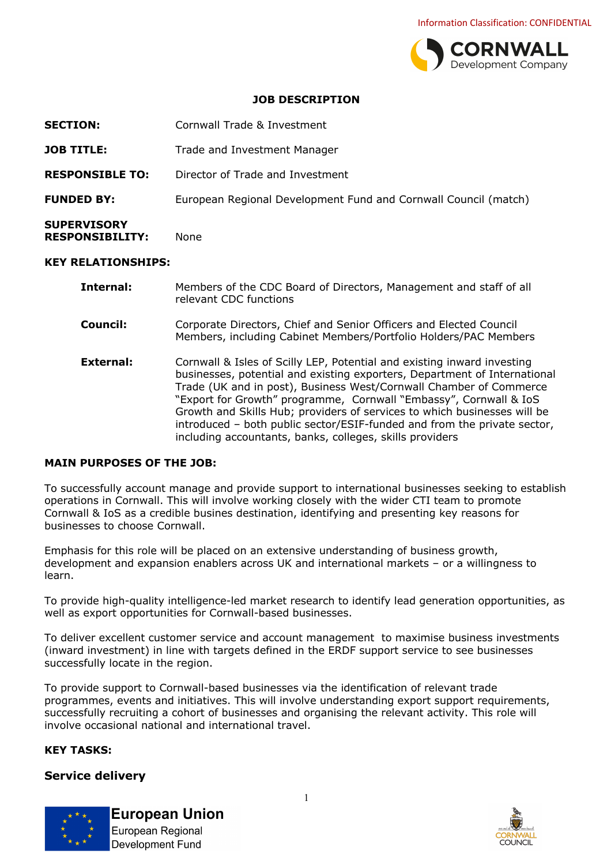

#### **JOB DESCRIPTION**

| <b>SECTION:</b>                              | Cornwall Trade & Investment                                     |
|----------------------------------------------|-----------------------------------------------------------------|
| <b>JOB TITLE:</b>                            | Trade and Investment Manager                                    |
| <b>RESPONSIBLE TO:</b>                       | Director of Trade and Investment                                |
| <b>FUNDED BY:</b>                            | European Regional Development Fund and Cornwall Council (match) |
| <b>SUPERVISORY</b><br><b>RESPONSIBILITY:</b> | <b>None</b>                                                     |
| KEV DEI ATIONCHIDC.                          |                                                                 |

#### **KEY RELATIONSHIPS:**

| Internal:        | Members of the CDC Board of Directors, Management and staff of all<br>relevant CDC functions                                                                                                                                                                                                                                                                                                                                                                                                                        |
|------------------|---------------------------------------------------------------------------------------------------------------------------------------------------------------------------------------------------------------------------------------------------------------------------------------------------------------------------------------------------------------------------------------------------------------------------------------------------------------------------------------------------------------------|
| Council:         | Corporate Directors, Chief and Senior Officers and Elected Council<br>Members, including Cabinet Members/Portfolio Holders/PAC Members                                                                                                                                                                                                                                                                                                                                                                              |
| <b>External:</b> | Cornwall & Isles of Scilly LEP, Potential and existing inward investing<br>businesses, potential and existing exporters, Department of International<br>Trade (UK and in post), Business West/Cornwall Chamber of Commerce<br>"Export for Growth" programme, Cornwall "Embassy", Cornwall & IoS<br>Growth and Skills Hub; providers of services to which businesses will be<br>introduced - both public sector/ESIF-funded and from the private sector,<br>including accountants, banks, colleges, skills providers |

#### **MAIN PURPOSES OF THE JOB:**

To successfully account manage and provide support to international businesses seeking to establish operations in Cornwall. This will involve working closely with the wider CTI team to promote Cornwall & IoS as a credible busines destination, identifying and presenting key reasons for businesses to choose Cornwall.

Emphasis for this role will be placed on an extensive understanding of business growth, development and expansion enablers across UK and international markets – or a willingness to learn.

To provide high-quality intelligence-led market research to identify lead generation opportunities, as well as export opportunities for Cornwall-based businesses.

To deliver excellent customer service and account management to maximise business investments (inward investment) in line with targets defined in the ERDF support service to see businesses successfully locate in the region.

To provide support to Cornwall-based businesses via the identification of relevant trade programmes, events and initiatives. This will involve understanding export support requirements, successfully recruiting a cohort of businesses and organising the relevant activity. This role will involve occasional national and international travel.

#### **KEY TASKS:**

#### **Service delivery**



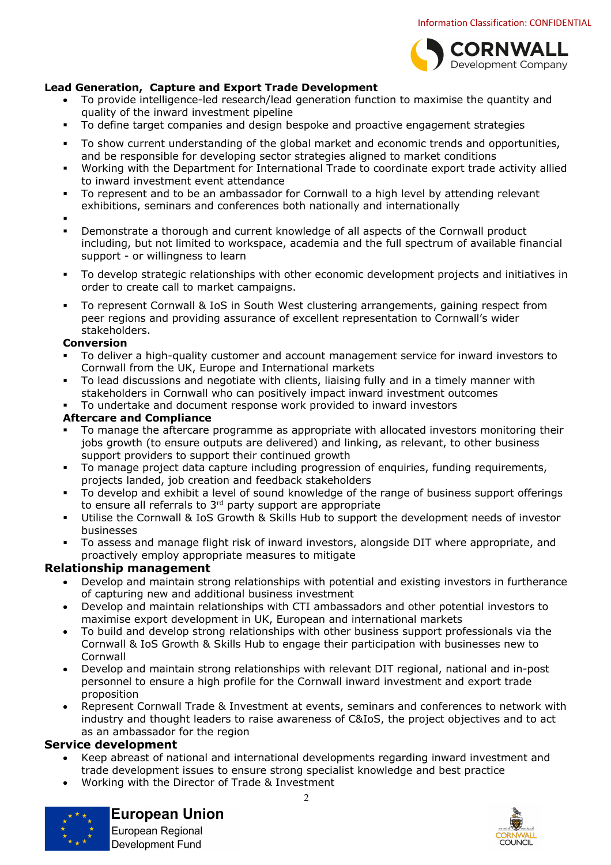

## **Lead Generation, Capture and Export Trade Development**

- To provide intelligence-led research/lead generation function to maximise the quantity and quality of the inward investment pipeline
- § To define target companies and design bespoke and proactive engagement strategies
- § To show current understanding of the global market and economic trends and opportunities, and be responsible for developing sector strategies aligned to market conditions
- § Working with the Department for International Trade to coordinate export trade activity allied to inward investment event attendance
- To represent and to be an ambassador for Cornwall to a high level by attending relevant exhibitions, seminars and conferences both nationally and internationally
- §
- Demonstrate a thorough and current knowledge of all aspects of the Cornwall product including, but not limited to workspace, academia and the full spectrum of available financial support - or willingness to learn
- To develop strategic relationships with other economic development projects and initiatives in order to create call to market campaigns.
- § To represent Cornwall & IoS in South West clustering arrangements, gaining respect from peer regions and providing assurance of excellent representation to Cornwall's wider stakeholders.

#### **Conversion**

- To deliver a high-quality customer and account management service for inward investors to Cornwall from the UK, Europe and International markets
- § To lead discussions and negotiate with clients, liaising fully and in a timely manner with stakeholders in Cornwall who can positively impact inward investment outcomes
- To undertake and document response work provided to inward investors

#### **Aftercare and Compliance**

- To manage the aftercare programme as appropriate with allocated investors monitoring their jobs growth (to ensure outputs are delivered) and linking, as relevant, to other business support providers to support their continued growth
- To manage project data capture including progression of enquiries, funding requirements, projects landed, job creation and feedback stakeholders
- To develop and exhibit a level of sound knowledge of the range of business support offerings to ensure all referrals to 3<sup>rd</sup> party support are appropriate
- Utilise the Cornwall & IoS Growth & Skills Hub to support the development needs of investor businesses
- § To assess and manage flight risk of inward investors, alongside DIT where appropriate, and proactively employ appropriate measures to mitigate

## **Relationship management**

- Develop and maintain strong relationships with potential and existing investors in furtherance of capturing new and additional business investment
- Develop and maintain relationships with CTI ambassadors and other potential investors to maximise export development in UK, European and international markets
- To build and develop strong relationships with other business support professionals via the Cornwall & IoS Growth & Skills Hub to engage their participation with businesses new to Cornwall
- Develop and maintain strong relationships with relevant DIT regional, national and in-post personnel to ensure a high profile for the Cornwall inward investment and export trade proposition
- Represent Cornwall Trade & Investment at events, seminars and conferences to network with industry and thought leaders to raise awareness of C&IoS, the project objectives and to act as an ambassador for the region

## **Service development**

- Keep abreast of national and international developments regarding inward investment and trade development issues to ensure strong specialist knowledge and best practice
- Working with the Director of Trade & Investment



# **European Union**

European Regional **Development Fund** 

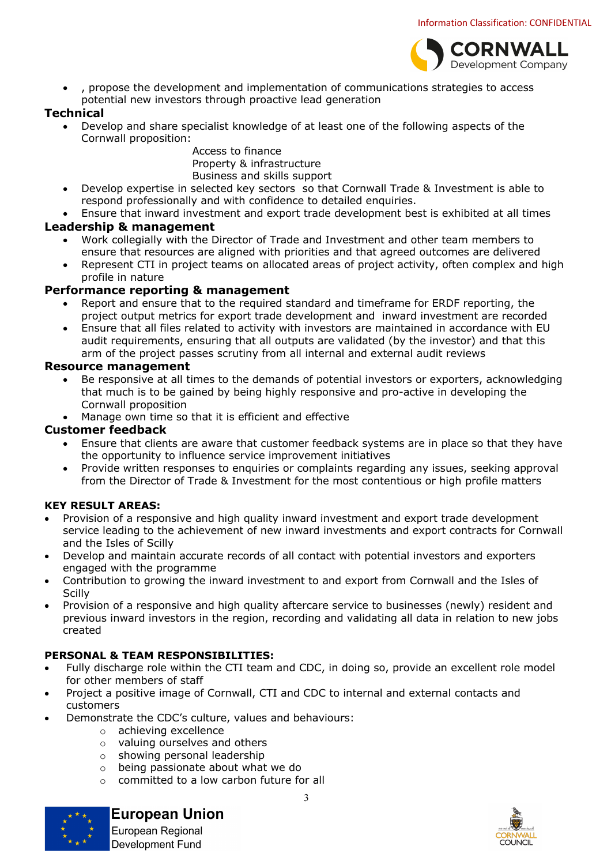

• , propose the development and implementation of communications strategies to access potential new investors through proactive lead generation

## **Technical**

• Develop and share specialist knowledge of at least one of the following aspects of the Cornwall proposition:

Access to finance Property & infrastructure Business and skills support

- Develop expertise in selected key sectors so that Cornwall Trade & Investment is able to respond professionally and with confidence to detailed enquiries.
- Ensure that inward investment and export trade development best is exhibited at all times

## **Leadership & management**

- Work collegially with the Director of Trade and Investment and other team members to ensure that resources are aligned with priorities and that agreed outcomes are delivered
- Represent CTI in project teams on allocated areas of project activity, often complex and high profile in nature

## **Performance reporting & management**

- Report and ensure that to the required standard and timeframe for ERDF reporting, the project output metrics for export trade development and inward investment are recorded
- Ensure that all files related to activity with investors are maintained in accordance with EU audit requirements, ensuring that all outputs are validated (by the investor) and that this arm of the project passes scrutiny from all internal and external audit reviews

## **Resource management**

- Be responsive at all times to the demands of potential investors or exporters, acknowledging that much is to be gained by being highly responsive and pro-active in developing the Cornwall proposition
- Manage own time so that it is efficient and effective

## **Customer feedback**

- Ensure that clients are aware that customer feedback systems are in place so that they have the opportunity to influence service improvement initiatives
- Provide written responses to enquiries or complaints regarding any issues, seeking approval from the Director of Trade & Investment for the most contentious or high profile matters

## **KEY RESULT AREAS:**

- Provision of a responsive and high quality inward investment and export trade development service leading to the achievement of new inward investments and export contracts for Cornwall and the Isles of Scilly
- Develop and maintain accurate records of all contact with potential investors and exporters engaged with the programme
- Contribution to growing the inward investment to and export from Cornwall and the Isles of **Scilly**
- Provision of a responsive and high quality aftercare service to businesses (newly) resident and previous inward investors in the region, recording and validating all data in relation to new jobs created

## **PERSONAL & TEAM RESPONSIBILITIES:**

- Fully discharge role within the CTI team and CDC, in doing so, provide an excellent role model for other members of staff
- Project a positive image of Cornwall, CTI and CDC to internal and external contacts and customers
	- Demonstrate the CDC's culture, values and behaviours:
		- o achieving excellence
		- o valuing ourselves and others
		- o showing personal leadership
		- o being passionate about what we do
		- o committed to a low carbon future for all



## **European Union**

European Regional **Development Fund** 

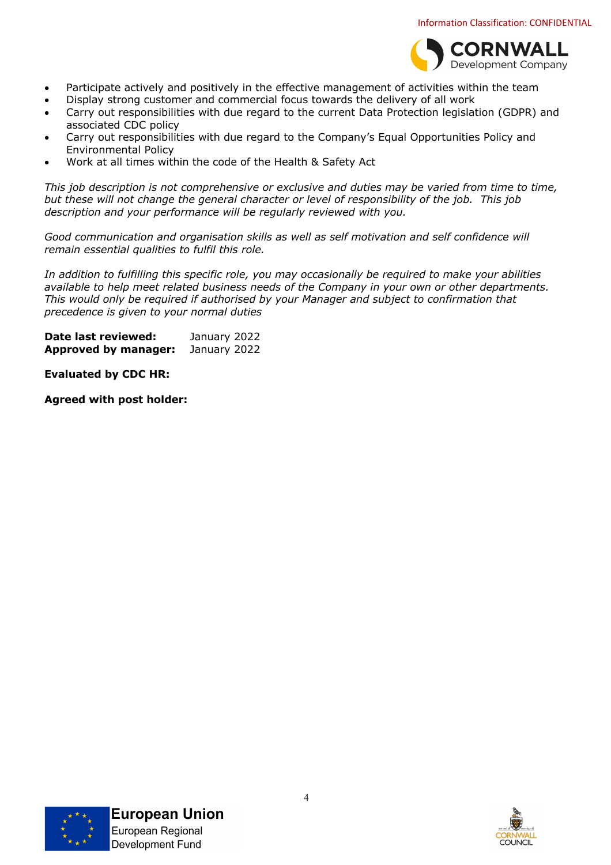

- Participate actively and positively in the effective management of activities within the team
- Display strong customer and commercial focus towards the delivery of all work
- Carry out responsibilities with due regard to the current Data Protection legislation (GDPR) and associated CDC policy
- Carry out responsibilities with due regard to the Company's Equal Opportunities Policy and Environmental Policy
- Work at all times within the code of the Health & Safety Act

*This job description is not comprehensive or exclusive and duties may be varied from time to time, but these will not change the general character or level of responsibility of the job. This job description and your performance will be regularly reviewed with you.*

*Good communication and organisation skills as well as self motivation and self confidence will remain essential qualities to fulfil this role.*

*In addition to fulfilling this specific role, you may occasionally be required to make your abilities available to help meet related business needs of the Company in your own or other departments. This would only be required if authorised by your Manager and subject to confirmation that precedence is given to your normal duties*

**Date last reviewed:** January 2022 **Approved by manager:** January 2022

**Evaluated by CDC HR:**

**Agreed with post holder:**



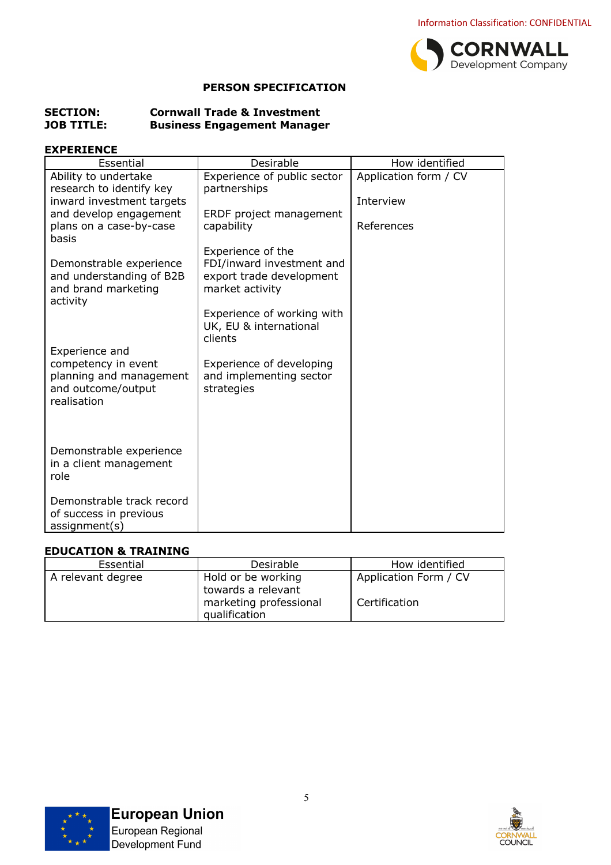

## **PERSON SPECIFICATION**

#### **SECTION: Cornwall Trade & Investment JOB TITLE: Business Engagement Manager**

## **EXPERIENCE**

| Essential                                                                           | Desirable                                                                | How identified        |
|-------------------------------------------------------------------------------------|--------------------------------------------------------------------------|-----------------------|
| Ability to undertake                                                                | Experience of public sector                                              | Application form / CV |
| research to identify key                                                            | partnerships                                                             |                       |
| inward investment targets<br>and develop engagement                                 | ERDF project management                                                  | Interview             |
| plans on a case-by-case<br>basis                                                    | capability                                                               | References            |
|                                                                                     | Experience of the                                                        |                       |
| Demonstrable experience<br>and understanding of B2B<br>and brand marketing          | FDI/inward investment and<br>export trade development<br>market activity |                       |
| activity                                                                            |                                                                          |                       |
|                                                                                     | Experience of working with<br>UK, EU & international<br>clients          |                       |
| Experience and                                                                      |                                                                          |                       |
| competency in event<br>planning and management<br>and outcome/output<br>realisation | Experience of developing<br>and implementing sector<br>strategies        |                       |
|                                                                                     |                                                                          |                       |
| Demonstrable experience<br>in a client management<br>role                           |                                                                          |                       |
| Demonstrable track record<br>of success in previous<br>assignment(s)                |                                                                          |                       |

## **EDUCATION & TRAINING**

| Essential         | Desirable                                                                           | How identified                         |
|-------------------|-------------------------------------------------------------------------------------|----------------------------------------|
| A relevant degree | Hold or be working<br>towards a relevant<br>marketing professional<br>qualification | Application Form / CV<br>Certification |



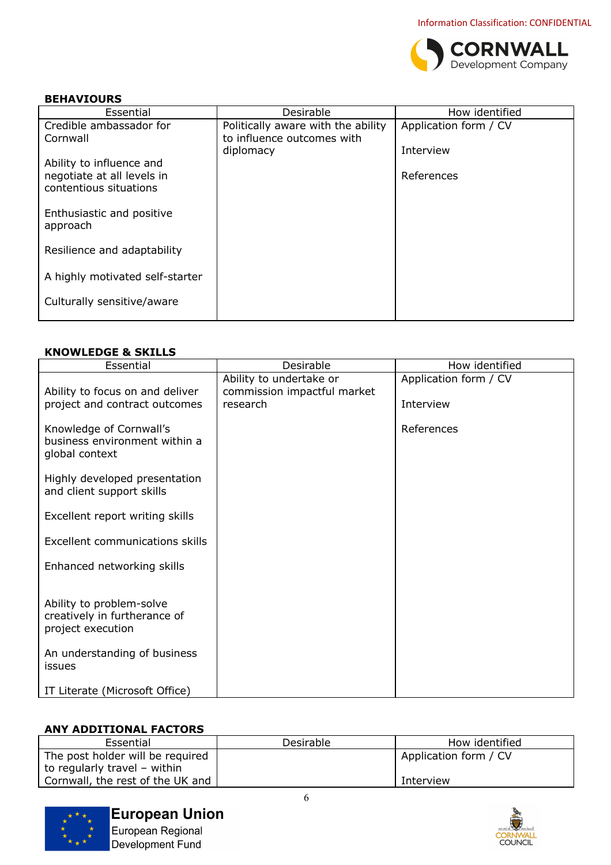

#### **BEHAVIOURS**

| Essential                                            | Desirable                          | How identified        |
|------------------------------------------------------|------------------------------------|-----------------------|
| Credible ambassador for                              | Politically aware with the ability | Application form / CV |
| Cornwall                                             | to influence outcomes with         |                       |
|                                                      | diplomacy                          | Interview             |
| Ability to influence and                             |                                    |                       |
| negotiate at all levels in<br>contentious situations |                                    | References            |
|                                                      |                                    |                       |
| Enthusiastic and positive                            |                                    |                       |
| approach                                             |                                    |                       |
|                                                      |                                    |                       |
| Resilience and adaptability                          |                                    |                       |
|                                                      |                                    |                       |
| A highly motivated self-starter                      |                                    |                       |
| Culturally sensitive/aware                           |                                    |                       |
|                                                      |                                    |                       |
|                                                      |                                    |                       |

## **KNOWLEDGE & SKILLS**

| Essential                                                                     | Desirable                                                          | How identified                     |
|-------------------------------------------------------------------------------|--------------------------------------------------------------------|------------------------------------|
| Ability to focus on and deliver<br>project and contract outcomes              | Ability to undertake or<br>commission impactful market<br>research | Application form / CV<br>Interview |
| Knowledge of Cornwall's<br>business environment within a<br>global context    |                                                                    | References                         |
| Highly developed presentation<br>and client support skills                    |                                                                    |                                    |
| Excellent report writing skills                                               |                                                                    |                                    |
| Excellent communications skills                                               |                                                                    |                                    |
| Enhanced networking skills                                                    |                                                                    |                                    |
| Ability to problem-solve<br>creatively in furtherance of<br>project execution |                                                                    |                                    |
| An understanding of business<br>issues                                        |                                                                    |                                    |
| IT Literate (Microsoft Office)                                                |                                                                    |                                    |

## **ANY ADDITIONAL FACTORS**

| Essential                        | Desirable | How identified        |
|----------------------------------|-----------|-----------------------|
| The post holder will be required |           | Application form / CV |
| to regularly travel - within     |           |                       |
| Cornwall, the rest of the UK and |           | Interview             |